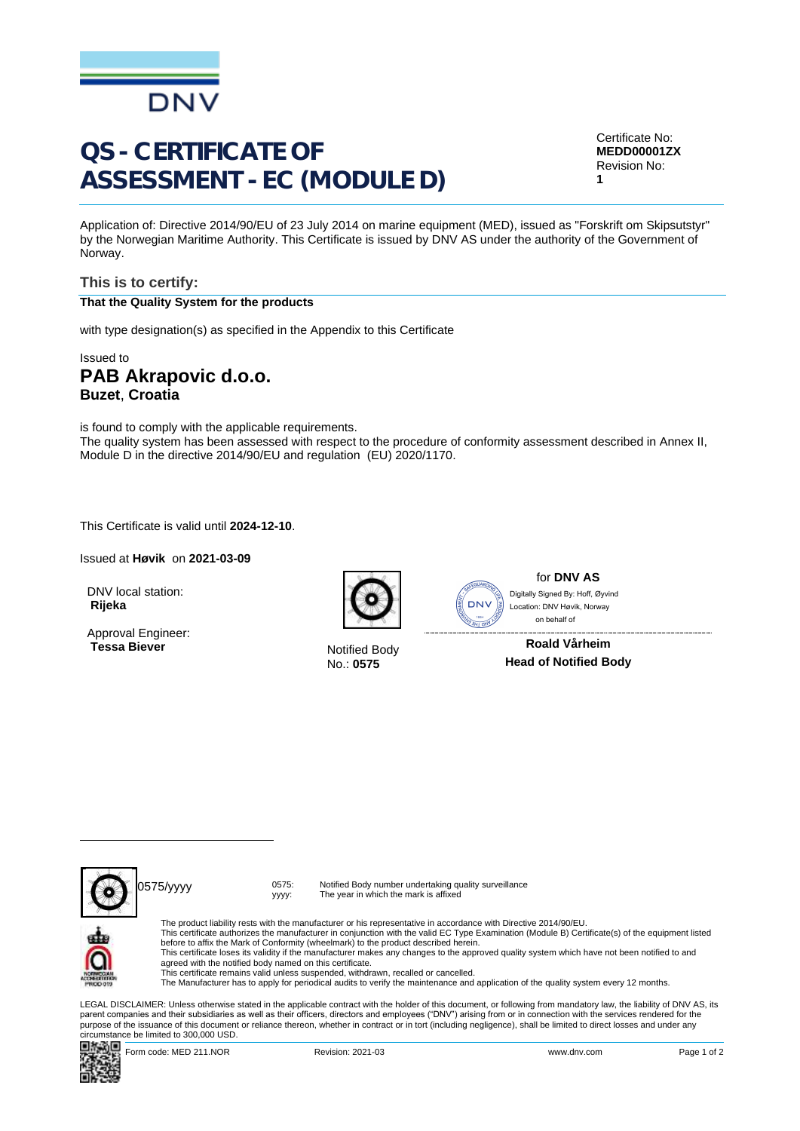

# QS - CERTIFICATE OF ASSESSMENT - EC (MODULE D)

Certificate No: **MEDD00001ZX** Revision No: **1**

Application of: Directive 2014/90/EU of 23 July 2014 on marine equipment (MED), issued as "Forskrift om Skipsutstyr" by the Norwegian Maritime Authority. This Certificate is issued by DNV AS under the authority of the Government of Norway.

#### **This is to certify: That the Quality System for the products**

with type designation(s) as specified in the Appendix to this Certificate

### Issued to **PAB Akrapovic d.o.o. Buzet**, **Croatia**

is found to comply with the applicable requirements. The quality system has been assessed with respect to the procedure of conformity assessment described in Annex II, Module D in the directive 2014/90/EU and regulation (EU) 2020/1170.

... This Certificate is valid until **2024-12-10**.

Issued at **Høvik** on **2021-03-09**

DNV local station: **Rijeka**

Approval Engineer: **Tessa Biever** Notified Body



No.: **0575**



for **DNV AS** on behalf ofDigitally Signed By: Hoff, Øyvind Location: DNV Høvik, Norway

**Roald Vårheim Head of Notified Body**



0575/yyyy 0575:

yyyy:

Notified Body number undertaking quality surveillance The year in which the mark is affixed



The product liability rests with the manufacturer or his representative in accordance with Directive 2014/90/EU.<br>This certificate authorizes the manufacturer in conjunction with the valid EC Type Examination (Module B) Cer This certificate loses its validity if the manufacturer makes any changes to the approved quality system which have not been notified to and agreed with the notified body named on this certificate. This certificate remains valid unless suspended, withdrawn, recalled or cancelled. The Manufacturer has to apply for periodical audits to verify the maintenance and application of the quality system every 12 months.

LEGAL DISCLAIMER: Unless otherwise stated in the applicable contract with the holder of this document, or following from mandatory law, the liability of DNV AS, its<br>parent companies and their subsidiaries as well as their purpose of the issuance of this document or reliance thereon, whether in contract or in tort (including negligence), shall be limited to direct losses and under any circumstance be limited to 300,000 USD.



Form code: MED 211.NOR Revision: 2021-03 www.dnv.com Page 1 of 2